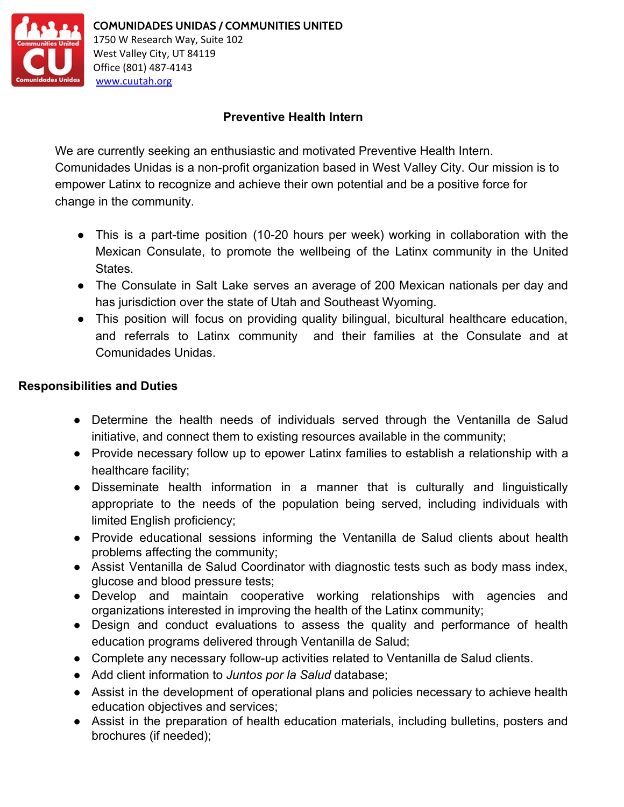

# **Preventive Health Intern**

We are currently seeking an enthusiastic and motivated Preventive Health Intern. Comunidades Unidas is a non-profit organization based in West Valley City. Our mission is to empower Latinx to recognize and achieve their own potential and be a positive force for change in the community.

- This is a part-time position (10-20 hours per week) working in collaboration with the Mexican Consulate, to promote the wellbeing of the Latinx community in the United States.
- The Consulate in Salt Lake serves an average of 200 Mexican nationals per day and has jurisdiction over the state of Utah and Southeast Wyoming.
- This position will focus on providing quality bilingual, bicultural healthcare education, and referrals to Latinx community and their families at the Consulate and at Comunidades Unidas.

## **Responsibilities and Duties**

- Determine the health needs of individuals served through the Ventanilla de Salud initiative, and connect them to existing resources available in the community;
- Provide necessary follow up to epower Latinx families to establish a relationship with a healthcare facility;
- Disseminate health information in a manner that is culturally and linguistically appropriate to the needs of the population being served, including individuals with limited English proficiency;
- Provide educational sessions informing the Ventanilla de Salud clients about health problems affecting the community;
- Assist Ventanilla de Salud Coordinator with diagnostic tests such as body mass index, glucose and blood pressure tests;
- Develop and maintain cooperative working relationships with agencies and organizations interested in improving the health of the Latinx community;
- Design and conduct evaluations to assess the quality and performance of health education programs delivered through Ventanilla de Salud;
- Complete any necessary follow-up activities related to Ventanilla de Salud clients.
- Add client information to *Juntos por la Salud* database;
- Assist in the development of operational plans and policies necessary to achieve health education objectives and services;
- **●** Assist in the preparation of health education materials, including bulletins, posters and brochures (if needed);